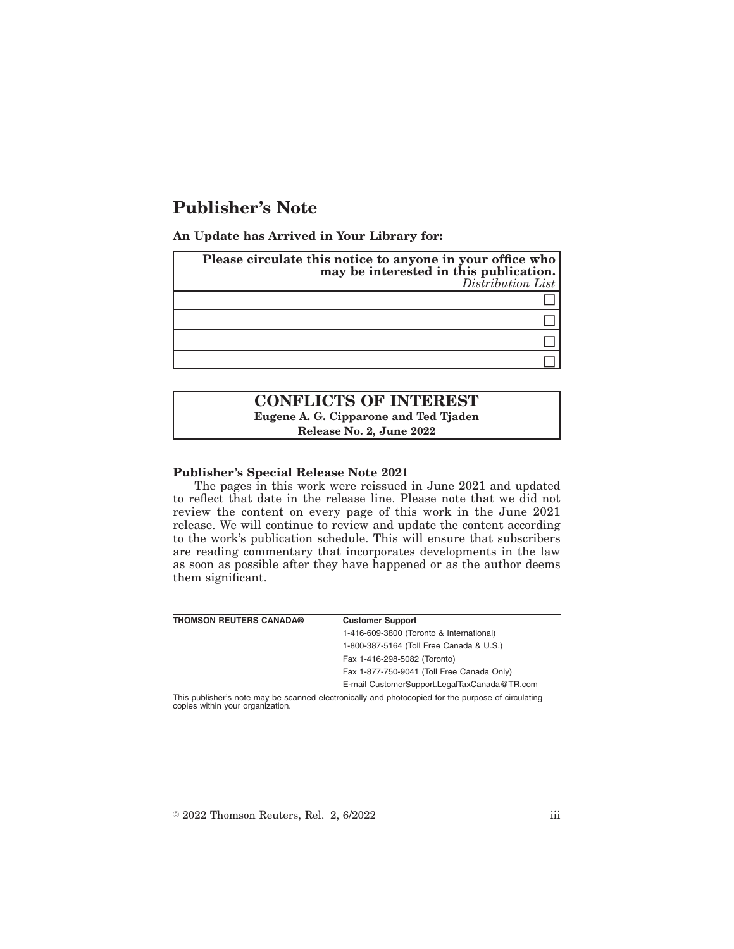# **Publisher's Note**

**An Update has Arrived in Your Library for:**

| Please circulate this notice to anyone in your office who<br>may be interested in this publication.<br>Distribution List |
|--------------------------------------------------------------------------------------------------------------------------|
|                                                                                                                          |
|                                                                                                                          |
|                                                                                                                          |
|                                                                                                                          |

# **CONFLICTS OF INTEREST Eugene A. G. Cipparone and Ted Tjaden**

**Release No. 2, June 2022**

## **Publisher's Special Release Note 2021**

The pages in this work were reissued in June 2021 and updated to reflect that date in the release line. Please note that we did not review the content on every page of this work in the June 2021 release. We will continue to review and update the content according to the work's publication schedule. This will ensure that subscribers are reading commentary that incorporates developments in the law as soon as possible after they have happened or as the author deems them significant.

| <b>THOMSON REUTERS CANADA®</b> | <b>Customer Support</b>                                                                            |
|--------------------------------|----------------------------------------------------------------------------------------------------|
|                                | 1-416-609-3800 (Toronto & International)                                                           |
|                                | 1-800-387-5164 (Toll Free Canada & U.S.)                                                           |
|                                | Fax 1-416-298-5082 (Toronto)                                                                       |
|                                | Fax 1-877-750-9041 (Toll Free Canada Only)                                                         |
|                                | E-mail CustomerSupport.LegalTaxCanada@TR.com                                                       |
|                                | This publisher's note may be scanned electronically and photocopied for the purpose of circulating |

copies within your organization.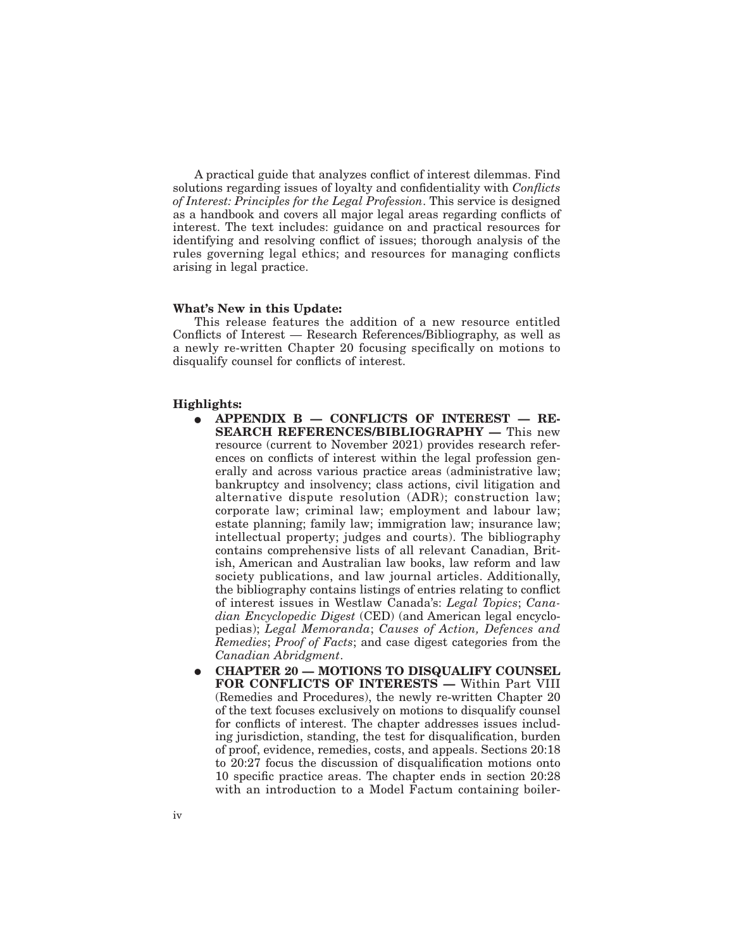A practical guide that analyzes conflict of interest dilemmas. Find solutions regarding issues of loyalty and confidentiality with *Conflicts of Interest: Principles for the Legal Profession*. This service is designed as a handbook and covers all major legal areas regarding conflicts of interest. The text includes: guidance on and practical resources for identifying and resolving conflict of issues; thorough analysis of the rules governing legal ethics; and resources for managing conflicts arising in legal practice.

#### **What's New in this Update:**

This release features the addition of a new resource entitled Conflicts of Interest — Research References/Bibliography, as well as a newly re-written Chapter 20 focusing specifically on motions to disqualify counsel for conflicts of interest.

#### **Highlights:**

- E **APPENDIX B CONFLICTS OF INTEREST RE-SEARCH REFERENCES/BIBLIOGRAPHY —** This new resource (current to November 2021) provides research references on conflicts of interest within the legal profession generally and across various practice areas (administrative law; bankruptcy and insolvency; class actions, civil litigation and alternative dispute resolution (ADR); construction law; corporate law; criminal law; employment and labour law; estate planning; family law; immigration law; insurance law; intellectual property; judges and courts). The bibliography contains comprehensive lists of all relevant Canadian, British, American and Australian law books, law reform and law society publications, and law journal articles. Additionally, the bibliography contains listings of entries relating to conflict of interest issues in Westlaw Canada's: *Legal Topics*; *Canadian Encyclopedic Digest* (CED) (and American legal encyclopedias); *Legal Memoranda*; *Causes of Action, Defences and Remedies*; *Proof of Facts*; and case digest categories from the *Canadian Abridgment*.
- E **CHAPTER 20 MOTIONS TO DISQUALIFY COUNSEL FOR CONFLICTS OF INTERESTS —** Within Part VIII (Remedies and Procedures), the newly re-written Chapter 20 of the text focuses exclusively on motions to disqualify counsel for conflicts of interest. The chapter addresses issues including jurisdiction, standing, the test for disqualification, burden of proof, evidence, remedies, costs, and appeals. Sections 20:18 to 20:27 focus the discussion of disqualification motions onto 10 specific practice areas. The chapter ends in section 20:28 with an introduction to a Model Factum containing boiler-